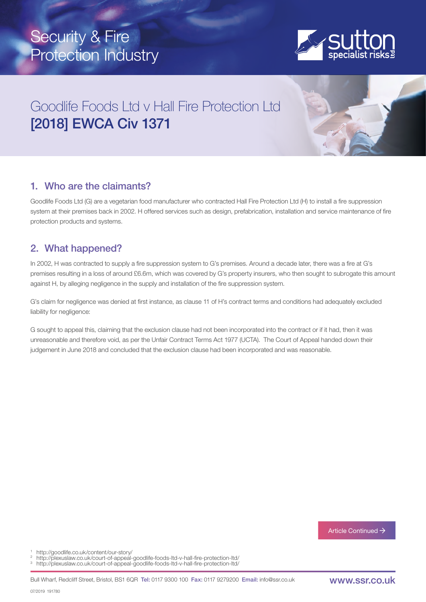# Security & Fire Protection Industry



## Goodlife Foods Ltd v Hall Fire Protection Ltd [2018] EWCA Civ 1371

## 1. Who are the claimants?

Goodlife Foods Ltd (G) are a vegetarian food manufacturer who contracted Hall Fire Protection Ltd (H) to install a fire suppression system at their premises back in 2002. H offered services such as design, prefabrication, installation and service maintenance of fire protection products and systems.

## 2. What happened?

In 2002, H was contracted to supply a fire suppression system to G's premises. Around a decade later, there was a fire at G's premises resulting in a loss of around £6.6m, which was covered by G's property insurers, who then sought to subrogate this amount against H, by alleging negligence in the supply and installation of the fire suppression system.

G's claim for negligence was denied at first instance, as clause 11 of H's contract terms and conditions had adequately excluded liability for negligence:

G sought to appeal this, claiming that the exclusion clause had not been incorporated into the contract or if it had, then it was unreasonable and therefore void, as per the Unfair Contract Terms Act 1977 (UCTA). The Court of Appeal handed down their judgement in June 2018 and concluded that the exclusion clause had been incorporated and was reasonable.

Article Continued  $\rightarrow$ 

http://goodlife.co.uk/content/our-story/

- http://plexuslaw.co.uk/court-of-appeal-goodlife-foods-ltd-v-hall-fire-protection-ltd/ 3
- http://plexuslaw.co.uk/court-of-appeal-goodlife-foods-ltd-v-hall-fire-protection-ltd/